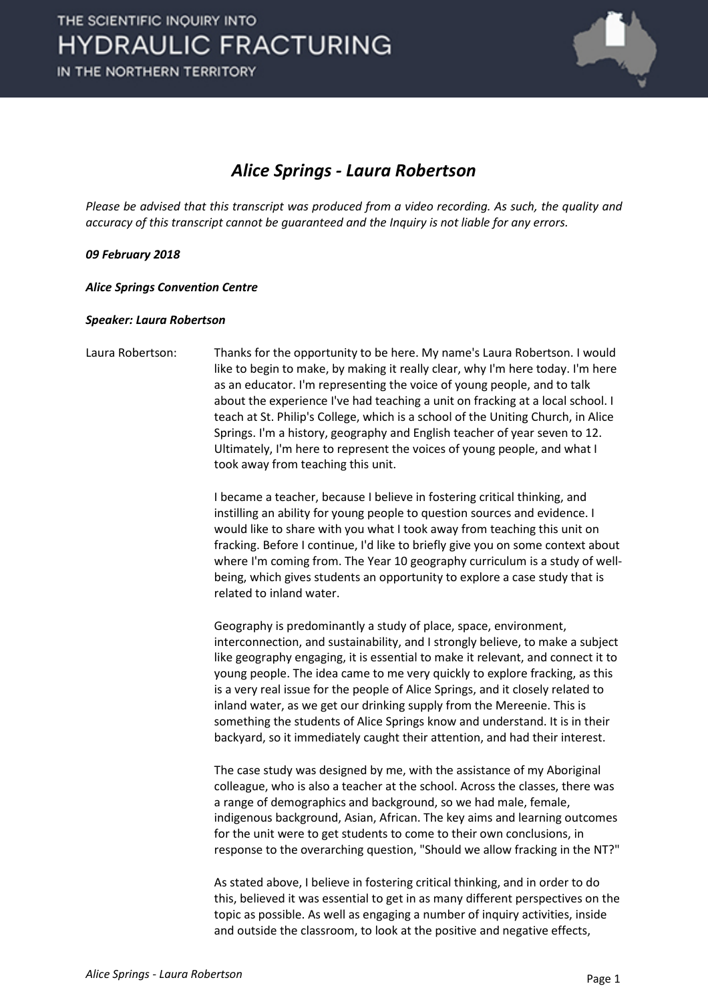

### *Alice Springs - Laura Robertson*

*Please be advised that this transcript was produced from a video recording. As such, the quality and accuracy of this transcript cannot be guaranteed and the Inquiry is not liable for any errors.*

### *09 February 2018*

*Alice Springs Convention Centre*

#### *Speaker: Laura Robertson*

Laura Robertson: Thanks for the opportunity to be here. My name's Laura Robertson. I would like to begin to make, by making it really clear, why I'm here today. I'm here as an educator. I'm representing the voice of young people, and to talk about the experience I've had teaching a unit on fracking at a local school. I teach at St. Philip's College, which is a school of the Uniting Church, in Alice Springs. I'm a history, geography and English teacher of year seven to 12. Ultimately, I'm here to represent the voices of young people, and what I took away from teaching this unit.

> I became a teacher, because I believe in fostering critical thinking, and instilling an ability for young people to question sources and evidence. I would like to share with you what I took away from teaching this unit on fracking. Before I continue, I'd like to briefly give you on some context about where I'm coming from. The Year 10 geography curriculum is a study of wellbeing, which gives students an opportunity to explore a case study that is related to inland water.

> Geography is predominantly a study of place, space, environment, interconnection, and sustainability, and I strongly believe, to make a subject like geography engaging, it is essential to make it relevant, and connect it to young people. The idea came to me very quickly to explore fracking, as this is a very real issue for the people of Alice Springs, and it closely related to inland water, as we get our drinking supply from the Mereenie. This is something the students of Alice Springs know and understand. It is in their backyard, so it immediately caught their attention, and had their interest.

> The case study was designed by me, with the assistance of my Aboriginal colleague, who is also a teacher at the school. Across the classes, there was a range of demographics and background, so we had male, female, indigenous background, Asian, African. The key aims and learning outcomes for the unit were to get students to come to their own conclusions, in response to the overarching question, "Should we allow fracking in the NT?"

> As stated above, I believe in fostering critical thinking, and in order to do this, believed it was essential to get in as many different perspectives on the topic as possible. As well as engaging a number of inquiry activities, inside and outside the classroom, to look at the positive and negative effects,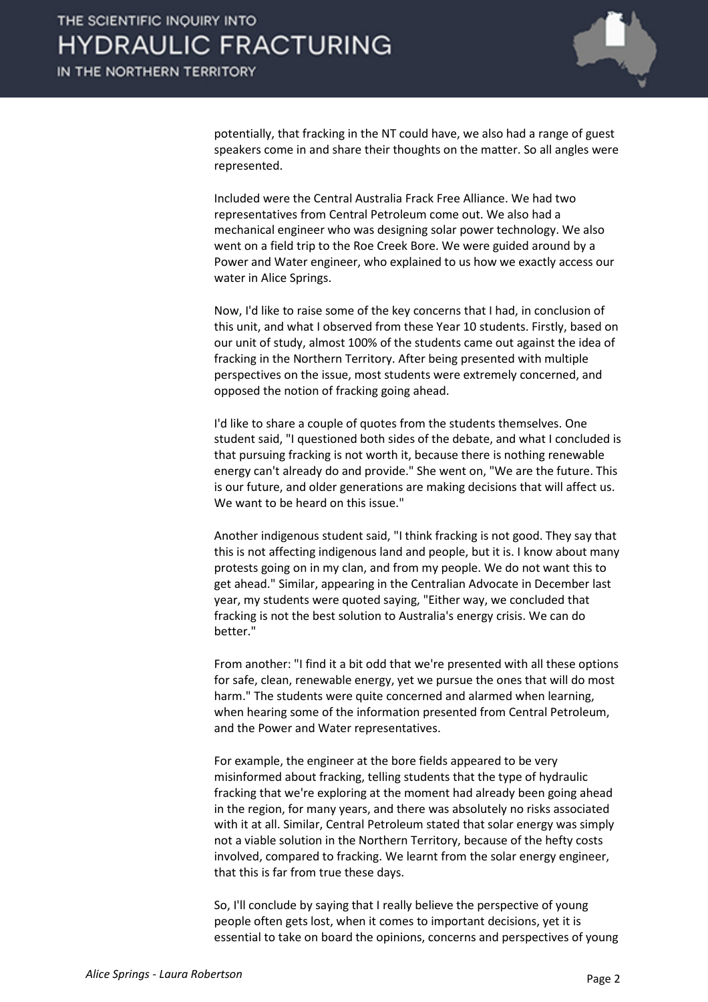

potentially, that fracking in the NT could have, we also had a range of guest speakers come in and share their thoughts on the matter. So all angles were represented.

Included were the Central Australia Frack Free Alliance. We had two representatives from Central Petroleum come out. We also had a mechanical engineer who was designing solar power technology. We also went on a field trip to the Roe Creek Bore. We were guided around by a Power and Water engineer, who explained to us how we exactly access our water in Alice Springs.

Now, I'd like to raise some of the key concerns that I had, in conclusion of this unit, and what I observed from these Year 10 students. Firstly, based on our unit of study, almost 100% of the students came out against the idea of fracking in the Northern Territory. After being presented with multiple perspectives on the issue, most students were extremely concerned, and opposed the notion of fracking going ahead.

I'd like to share a couple of quotes from the students themselves. One student said, "I questioned both sides of the debate, and what I concluded is that pursuing fracking is not worth it, because there is nothing renewable energy can't already do and provide." She went on, "We are the future. This is our future, and older generations are making decisions that will affect us. We want to be heard on this issue."

Another indigenous student said, "I think fracking is not good. They say that this is not affecting indigenous land and people, but it is. I know about many protests going on in my clan, and from my people. We do not want this to get ahead." Similar, appearing in the Centralian Advocate in December last year, my students were quoted saying, "Either way, we concluded that fracking is not the best solution to Australia's energy crisis. We can do better."

From another: "I find it a bit odd that we're presented with all these options for safe, clean, renewable energy, yet we pursue the ones that will do most harm." The students were quite concerned and alarmed when learning, when hearing some of the information presented from Central Petroleum, and the Power and Water representatives.

For example, the engineer at the bore fields appeared to be very misinformed about fracking, telling students that the type of hydraulic fracking that we're exploring at the moment had already been going ahead in the region, for many years, and there was absolutely no risks associated with it at all. Similar, Central Petroleum stated that solar energy was simply not a viable solution in the Northern Territory, because of the hefty costs involved, compared to fracking. We learnt from the solar energy engineer, that this is far from true these days.

So, I'll conclude by saying that I really believe the perspective of young people often gets lost, when it comes to important decisions, yet it is essential to take on board the opinions, concerns and perspectives of young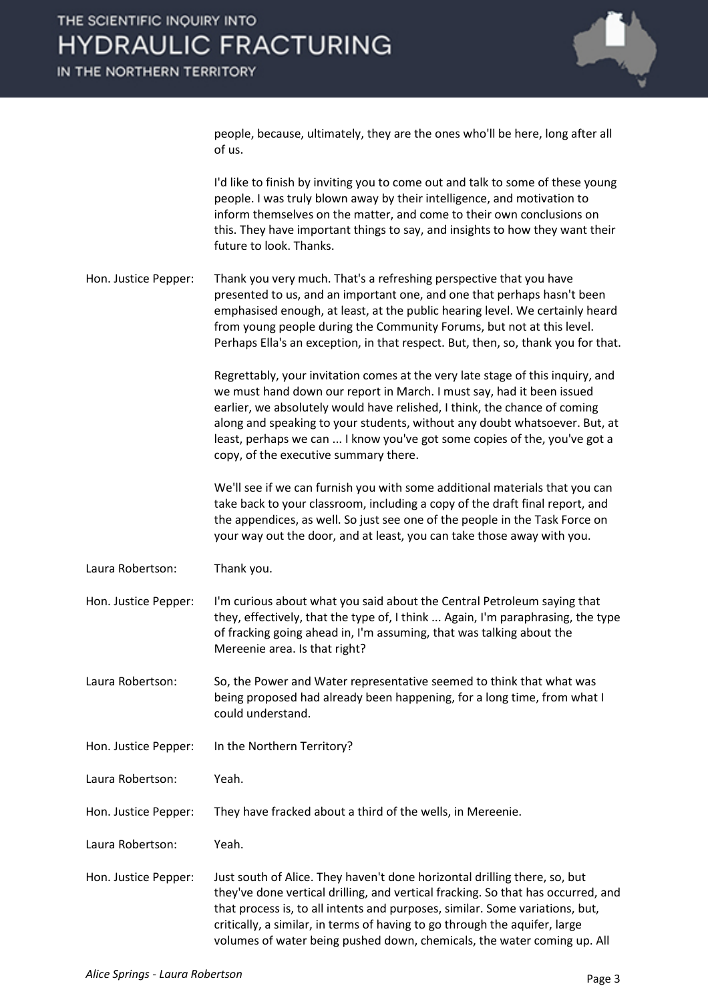

people, because, ultimately, they are the ones who'll be here, long after all of us.

I'd like to finish by inviting you to come out and talk to some of these young people. I was truly blown away by their intelligence, and motivation to inform themselves on the matter, and come to their own conclusions on this. They have important things to say, and insights to how they want their future to look. Thanks.

Hon. Justice Pepper: Thank you very much. That's a refreshing perspective that you have presented to us, and an important one, and one that perhaps hasn't been emphasised enough, at least, at the public hearing level. We certainly heard from young people during the Community Forums, but not at this level. Perhaps Ella's an exception, in that respect. But, then, so, thank you for that.

> Regrettably, your invitation comes at the very late stage of this inquiry, and we must hand down our report in March. I must say, had it been issued earlier, we absolutely would have relished, I think, the chance of coming along and speaking to your students, without any doubt whatsoever. But, at least, perhaps we can ... I know you've got some copies of the, you've got a copy, of the executive summary there.

We'll see if we can furnish you with some additional materials that you can take back to your classroom, including a copy of the draft final report, and the appendices, as well. So just see one of the people in the Task Force on your way out the door, and at least, you can take those away with you.

Laura Robertson: Thank you.

Hon. Justice Pepper: I'm curious about what you said about the Central Petroleum saying that they, effectively, that the type of, I think ... Again, I'm paraphrasing, the type of fracking going ahead in, I'm assuming, that was talking about the Mereenie area. Is that right?

Laura Robertson: So, the Power and Water representative seemed to think that what was being proposed had already been happening, for a long time, from what I could understand.

Hon. Justice Pepper: In the Northern Territory?

Laura Robertson: Yeah.

Hon. Justice Pepper: They have fracked about a third of the wells, in Mereenie.

Laura Robertson: Yeah.

Hon. Justice Pepper: Just south of Alice. They haven't done horizontal drilling there, so, but they've done vertical drilling, and vertical fracking. So that has occurred, and that process is, to all intents and purposes, similar. Some variations, but, critically, a similar, in terms of having to go through the aquifer, large volumes of water being pushed down, chemicals, the water coming up. All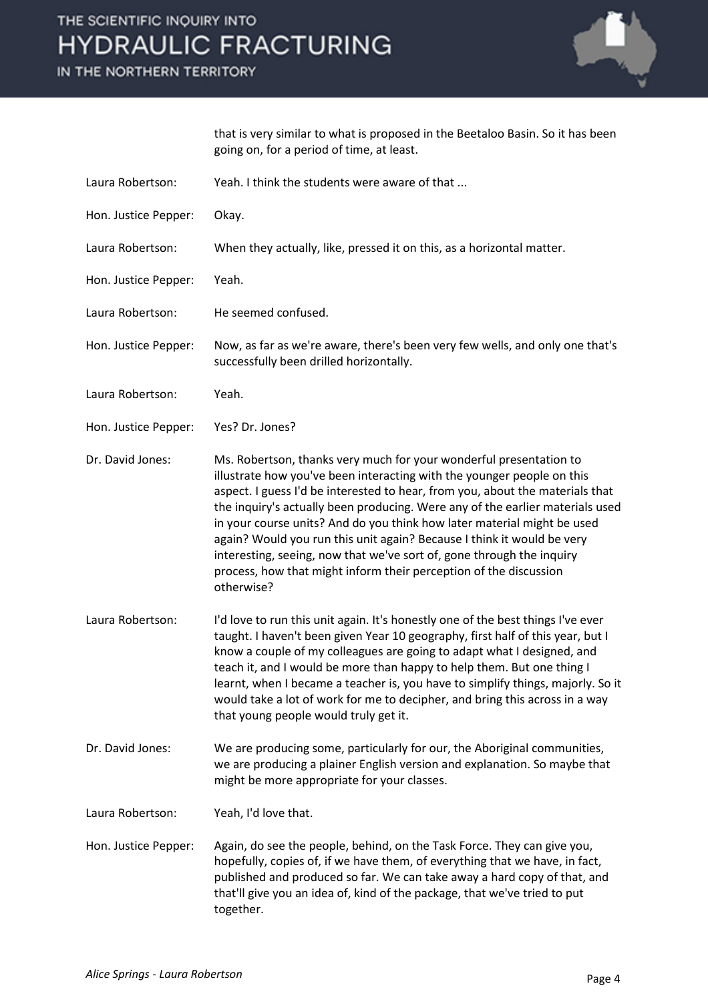# THE SCIENTIFIC INQUIRY INTO **HYDRAULIC FRACTURING**

IN THE NORTHERN TERRITORY



that is very similar to what is proposed in the Beetaloo Basin. So it has been going on, for a period of time, at least.

- Laura Robertson: Yeah. I think the students were aware of that ...
- Hon. Justice Pepper: Okay.
- Laura Robertson: When they actually, like, pressed it on this, as a horizontal matter.
- Hon. Justice Pepper: Yeah.
- Laura Robertson: He seemed confused.
- Hon. Justice Pepper: Now, as far as we're aware, there's been very few wells, and only one that's successfully been drilled horizontally.
- Laura Robertson: Yeah.
- Hon. Justice Pepper: Yes? Dr. Jones?
- Dr. David Jones: Ms. Robertson, thanks very much for your wonderful presentation to illustrate how you've been interacting with the younger people on this aspect. I guess I'd be interested to hear, from you, about the materials that the inquiry's actually been producing. Were any of the earlier materials used in your course units? And do you think how later material might be used again? Would you run this unit again? Because I think it would be very interesting, seeing, now that we've sort of, gone through the inquiry process, how that might inform their perception of the discussion otherwise?
- Laura Robertson: I'd love to run this unit again. It's honestly one of the best things I've ever taught. I haven't been given Year 10 geography, first half of this year, but I know a couple of my colleagues are going to adapt what I designed, and teach it, and I would be more than happy to help them. But one thing I learnt, when I became a teacher is, you have to simplify things, majorly. So it would take a lot of work for me to decipher, and bring this across in a way that young people would truly get it.
- Dr. David Jones: We are producing some, particularly for our, the Aboriginal communities, we are producing a plainer English version and explanation. So maybe that might be more appropriate for your classes.
- Laura Robertson: Yeah, I'd love that.
- Hon. Justice Pepper: Again, do see the people, behind, on the Task Force. They can give you, hopefully, copies of, if we have them, of everything that we have, in fact, published and produced so far. We can take away a hard copy of that, and that'll give you an idea of, kind of the package, that we've tried to put together.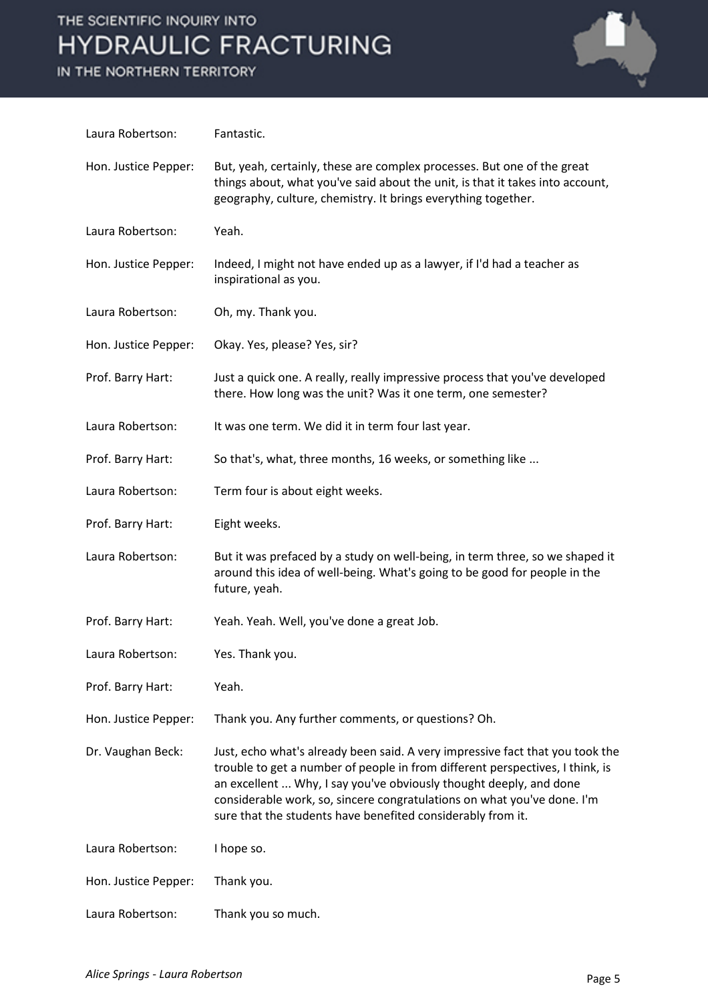# THE SCIENTIFIC INQUIRY INTO **HYDRAULIC FRACTURING**

IN THE NORTHERN TERRITORY



| Laura Robertson:     | Fantastic.                                                                                                                                                                                                                                                                                                                                                                     |
|----------------------|--------------------------------------------------------------------------------------------------------------------------------------------------------------------------------------------------------------------------------------------------------------------------------------------------------------------------------------------------------------------------------|
| Hon. Justice Pepper: | But, yeah, certainly, these are complex processes. But one of the great<br>things about, what you've said about the unit, is that it takes into account,<br>geography, culture, chemistry. It brings everything together.                                                                                                                                                      |
| Laura Robertson:     | Yeah.                                                                                                                                                                                                                                                                                                                                                                          |
| Hon. Justice Pepper: | Indeed, I might not have ended up as a lawyer, if I'd had a teacher as<br>inspirational as you.                                                                                                                                                                                                                                                                                |
| Laura Robertson:     | Oh, my. Thank you.                                                                                                                                                                                                                                                                                                                                                             |
| Hon. Justice Pepper: | Okay. Yes, please? Yes, sir?                                                                                                                                                                                                                                                                                                                                                   |
| Prof. Barry Hart:    | Just a quick one. A really, really impressive process that you've developed<br>there. How long was the unit? Was it one term, one semester?                                                                                                                                                                                                                                    |
| Laura Robertson:     | It was one term. We did it in term four last year.                                                                                                                                                                                                                                                                                                                             |
| Prof. Barry Hart:    | So that's, what, three months, 16 weeks, or something like                                                                                                                                                                                                                                                                                                                     |
| Laura Robertson:     | Term four is about eight weeks.                                                                                                                                                                                                                                                                                                                                                |
| Prof. Barry Hart:    | Eight weeks.                                                                                                                                                                                                                                                                                                                                                                   |
| Laura Robertson:     | But it was prefaced by a study on well-being, in term three, so we shaped it<br>around this idea of well-being. What's going to be good for people in the<br>future, yeah.                                                                                                                                                                                                     |
| Prof. Barry Hart:    | Yeah. Yeah. Well, you've done a great Job.                                                                                                                                                                                                                                                                                                                                     |
| Laura Robertson:     | Yes. Thank you.                                                                                                                                                                                                                                                                                                                                                                |
| Prof. Barry Hart:    | Yeah.                                                                                                                                                                                                                                                                                                                                                                          |
| Hon. Justice Pepper: | Thank you. Any further comments, or questions? Oh.                                                                                                                                                                                                                                                                                                                             |
| Dr. Vaughan Beck:    | Just, echo what's already been said. A very impressive fact that you took the<br>trouble to get a number of people in from different perspectives, I think, is<br>an excellent  Why, I say you've obviously thought deeply, and done<br>considerable work, so, sincere congratulations on what you've done. I'm<br>sure that the students have benefited considerably from it. |
| Laura Robertson:     | I hope so.                                                                                                                                                                                                                                                                                                                                                                     |
| Hon. Justice Pepper: | Thank you.                                                                                                                                                                                                                                                                                                                                                                     |
| Laura Robertson:     | Thank you so much.                                                                                                                                                                                                                                                                                                                                                             |